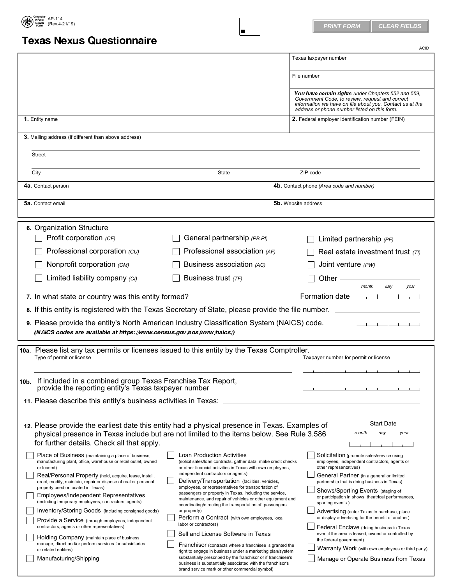

## Texas Nexus Questionnaire

|                                                                                                                                                                                                                                           |                                                                                                                                                                                  | <b>ACID</b>                                                                                                                                                                                                        |
|-------------------------------------------------------------------------------------------------------------------------------------------------------------------------------------------------------------------------------------------|----------------------------------------------------------------------------------------------------------------------------------------------------------------------------------|--------------------------------------------------------------------------------------------------------------------------------------------------------------------------------------------------------------------|
|                                                                                                                                                                                                                                           |                                                                                                                                                                                  | Texas taxpayer number                                                                                                                                                                                              |
|                                                                                                                                                                                                                                           |                                                                                                                                                                                  | File number                                                                                                                                                                                                        |
|                                                                                                                                                                                                                                           |                                                                                                                                                                                  | You have certain rights under Chapters 552 and 559,<br>Government Code, to review, request and correct<br>information we have on file about you. Contact us at the<br>address or phone number listed on this form. |
| 1. Entity name                                                                                                                                                                                                                            |                                                                                                                                                                                  | 2. Federal employer identification number (FEIN)                                                                                                                                                                   |
| 3. Mailing address (if different than above address)                                                                                                                                                                                      |                                                                                                                                                                                  |                                                                                                                                                                                                                    |
| Street                                                                                                                                                                                                                                    |                                                                                                                                                                                  |                                                                                                                                                                                                                    |
| City                                                                                                                                                                                                                                      | State                                                                                                                                                                            | ZIP code                                                                                                                                                                                                           |
| 4a. Contact person                                                                                                                                                                                                                        |                                                                                                                                                                                  | 4b. Contact phone (Area code and number)                                                                                                                                                                           |
| <b>5a.</b> Contact email                                                                                                                                                                                                                  |                                                                                                                                                                                  | <b>5b.</b> Website address                                                                                                                                                                                         |
|                                                                                                                                                                                                                                           |                                                                                                                                                                                  |                                                                                                                                                                                                                    |
| 6. Organization Structure<br>Profit corporation $(CF)$                                                                                                                                                                                    | General partnership (PB, PI)                                                                                                                                                     | Limited partnership (PF)                                                                                                                                                                                           |
| Professional corporation (CU)                                                                                                                                                                                                             | Professional association (AF)                                                                                                                                                    | Real estate investment trust $(TI)$                                                                                                                                                                                |
| Nonprofit corporation (CM)                                                                                                                                                                                                                | Business association (AC)                                                                                                                                                        | Joint venture (PW)                                                                                                                                                                                                 |
| Limited liability company (CI)                                                                                                                                                                                                            | Business trust $(TF)$                                                                                                                                                            | Other $-$                                                                                                                                                                                                          |
| 7. In what state or country was this entity formed?                                                                                                                                                                                       | <u> 1990 - Johann Barbara, martin a</u>                                                                                                                                          | month<br>day<br>year<br>Formation date LACCOND                                                                                                                                                                     |
| 8. If this entity is registered with the Texas Secretary of State, please provide the file number. _____                                                                                                                                  |                                                                                                                                                                                  |                                                                                                                                                                                                                    |
| 9. Please provide the entity's North American Industry Classification System (NAICS) code.                                                                                                                                                |                                                                                                                                                                                  |                                                                                                                                                                                                                    |
| (NAICS codes are available at https://www.census.gov/eos/www/naics/)                                                                                                                                                                      |                                                                                                                                                                                  |                                                                                                                                                                                                                    |
| 10a. Please list any tax permits or licenses issued to this entity by the Texas Comptroller.                                                                                                                                              |                                                                                                                                                                                  |                                                                                                                                                                                                                    |
| Type of permit or license                                                                                                                                                                                                                 |                                                                                                                                                                                  | Taxpayer number for permit or license                                                                                                                                                                              |
|                                                                                                                                                                                                                                           |                                                                                                                                                                                  | .                                                                                                                                                                                                                  |
| 10b. If included in a combined group Texas Franchise Tax Report,<br>provide the reporting entity's Texas taxpayer number                                                                                                                  |                                                                                                                                                                                  |                                                                                                                                                                                                                    |
| 11. Please describe this entity's business activities in Texas:                                                                                                                                                                           |                                                                                                                                                                                  |                                                                                                                                                                                                                    |
|                                                                                                                                                                                                                                           |                                                                                                                                                                                  |                                                                                                                                                                                                                    |
| 12. Please provide the earliest date this entity had a physical presence in Texas. Examples of<br>physical presence in Texas include but are not limited to the items below. See Rule 3.586<br>for further details. Check all that apply. |                                                                                                                                                                                  | <b>Start Date</b><br>day<br>month<br>year                                                                                                                                                                          |
| Place of Business (maintaining a place of business,<br>manufacturing plant, office, warehouse or retail outlet, owned<br>or leased)                                                                                                       | <b>Loan Production Activities</b><br>(solicit sales/loan contracts, gather data, make credit checks<br>or other financial activities in Texas with own employees,                | Solicitation (promote sales/service using<br>employees, independent contractors, agents or<br>other representatives)                                                                                               |
| Real/Personal Property (hold, acquire, lease, install,<br>erect, modify, maintain, repair or dispose of real or personal<br>property used or located in Texas)                                                                            | independent contractors or agents)<br>Delivery/Transportation (facilities, vehicles,<br>employees, or representatives for transportation of                                      | General Partner (in a general or limited<br>partnership that is doing business in Texas)                                                                                                                           |
| Employees/Independent Representatives<br>(including temporary employees, contractors, agents)                                                                                                                                             | passengers or property in Texas, including the service,<br>maintenance, and repair of vehicles or other equipment and<br>coordinating/directing the transportation of passengers | Shows/Sporting Events (staging of<br>or participation in shows, theatrical performances,<br>sporting events)                                                                                                       |
| Inventory/Storing Goods (including consigned goods)<br>Provide a Service (through employees, independent                                                                                                                                  | or property)<br>Perform a Contract (with own employees, local<br>labor or contractors)                                                                                           | Advertising (enter Texas to purchase, place<br>or display advertising for the benefit of another)                                                                                                                  |
| contractors, agents or other representatives)<br>Holding Company (maintain place of business,                                                                                                                                             | Sell and License Software in Texas                                                                                                                                               | Federal Enclave (doing business in Texas<br>even if the area is leased, owned or controlled by<br>the federal government)                                                                                          |
| manage, direct and/or perform services for subsidiaries<br>or related entities)                                                                                                                                                           | Franchisor (contracts where a franchisee is granted the<br>right to engage in business under a marketing plan/system                                                             | Warranty Work (with own employees or third party)                                                                                                                                                                  |